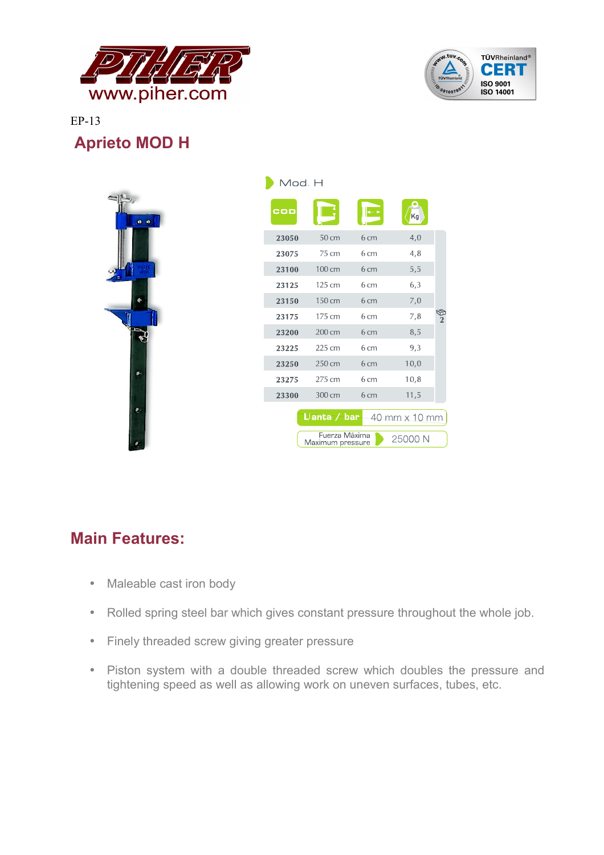



EP-13  **Aprieto MOD H**

| IVIOO H |                                   |      |               |               |
|---------|-----------------------------------|------|---------------|---------------|
| COD     |                                   |      | Kg            |               |
| 23050   | 50 cm                             | 6 cm | 4,0           |               |
| 23075   | 75 cm                             | 6 cm | 4,8           |               |
| 23100   | 100 cm                            | 6 cm | 5,5           |               |
| 23125   | 125 cm                            | 6 cm | 6,3           |               |
| 23150   | 150 cm                            | 6 cm | 7,0           |               |
| 23175   | 175 cm                            | 6 cm | 7,8           | $\frac{6}{2}$ |
| 23200   | 200 cm                            | 6 cm | 8,5           |               |
| 23225   | 225 cm                            | 6 cm | 9,3           |               |
| 23250   | 250 cm                            | 6 cm | 10,0          |               |
| 23275   | 275 cm                            | 6 cm | 10,8          |               |
| 23300   | 300 cm                            | 6 cm | 11,5          |               |
|         | Lanta / bar                       |      | 40 mm x 10 mm |               |
|         | Fuerza Máxima<br>Maximum pressure |      | 25000 N       |               |

## **Main Features:**

- Maleable cast iron body
- Rolled spring steel bar which gives constant pressure throughout the whole job.
- Finely threaded screw giving greater pressure
- Piston system with a double threaded screw which doubles the pressure and tightening speed as well as allowing work on uneven surfaces, tubes, etc.